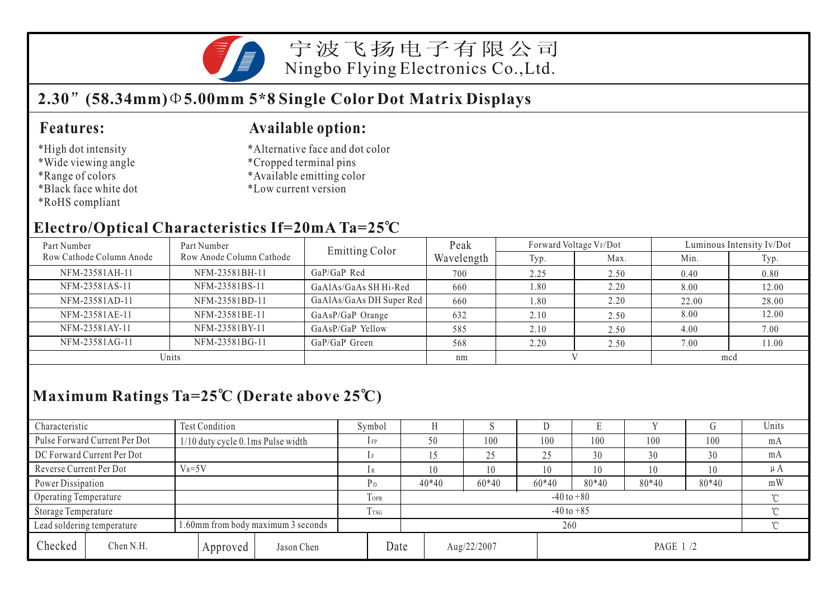

宁波飞扬电子有限公司 Ningbo Flying Electronics Co.,Ltd.

## **2.30 (58.34mm) 5.00mm 5\*8 Single Color Dot Matrix Displays**

#### **Features:**

- \*High dot intensity
- \*Wide viewing angle
- \*Range of colors
- \*Black face white dot
- \*RoHS compliant

#### **Available option:**

- \*Alternative face and dot color
- \*Cropped terminal pins
- \*Available emitting color
- \*Low current version

#### **Electro/Optical Characteristics If=20mA Ta=25 C**

| Part Number              | Part Number              | <b>Emitting Color</b>    | Peak       | Forward Voltage VF/Dot |      | Luminous Intensity Iv/Dot |       |  |
|--------------------------|--------------------------|--------------------------|------------|------------------------|------|---------------------------|-------|--|
| Row Cathode Column Anode | Row Anode Column Cathode |                          | Wavelength | Typ.                   | Max. | Min.                      | Typ.  |  |
| NFM-23581AH-11           | NFM-23581BH-11           | GaP/GaP Red              | 700        | 2.25                   | 2.50 | 0.40                      | 0.80  |  |
| NFM-23581AS-11           | NFM-23581BS-11           | GaAlAs/GaAs SH Hi-Red    | 660        | 1.80                   | 2.20 | 8.00                      | 12.00 |  |
| NFM-23581AD-11           | NFM-23581BD-11           | GaAlAs/GaAs DH Super Red | 660        | 1.80                   | 2.20 | 22.00                     | 28.00 |  |
| NFM-23581AE-11           | NFM-23581BE-11           | GaAsP/GaP Orange         | 632        | 2.10                   | 2.50 | 8.00                      | 12.00 |  |
| NFM-23581AY-11           | NFM-23581BY-11           | GaAsP/GaP Yellow         | 585        | 2.10                   | 2.50 | 4.00                      | 7.00  |  |
| NFM-23581AG-11           | NFM-23581BG-11           | GaP/GaP Green            | 568        | 2.20                   | 2.50 | 7.00                      | 11.00 |  |
| Units                    |                          |                          | nm         |                        |      | mcd                       |       |  |

## **Maximum Ratings Ta=25 C (Derate above 25 C)**

| Characteristic          |                               | <b>Test Condition</b>              |          |                  |                            | Symbol         |             |  |         |           |         |       | Сĭ      | Units   |
|-------------------------|-------------------------------|------------------------------------|----------|------------------|----------------------------|----------------|-------------|--|---------|-----------|---------|-------|---------|---------|
|                         | Pulse Forward Current Per Dot | 1/10 duty cycle 0.1ms Pulse width  |          |                  |                            | $1$ FP         | 50          |  | 100     | 100       | 100     | 100   | 100     | mA      |
|                         | DC Forward Current Per Dot    |                                    |          |                  |                            |                |             |  | 25      | 25        | 30      | 30    | 30      | mA      |
| Reverse Current Per Dot |                               | $V_R = 5V$                         |          |                  |                            |                | 10          |  | 10      | 10        | 10      | 10    | 10      | $\mu A$ |
| Power Dissipation       |                               |                                    |          |                  |                            | $P_D$          | $40*40$     |  | $60*40$ | $60*40$   | $80*40$ | 80*40 | $80*40$ | mW      |
| Operating Temperature   |                               |                                    |          |                  | TOPR                       | $-40$ to $+80$ |             |  |         |           |         |       | $\sim$  |         |
| Storage Temperature     |                               |                                    |          | T <sub>rsG</sub> | $-40$ to $+85$<br>$\gamma$ |                |             |  |         |           |         |       |         |         |
|                         | Lead soldering temperature    | 1.60mm from body maximum 3 seconds |          |                  |                            |                | 260         |  |         |           |         |       |         |         |
| Checked                 | Chen N.H.                     |                                    | Approved | Jason Chen       | Date                       |                | Aug/22/2007 |  |         | PAGE 1 /2 |         |       |         |         |